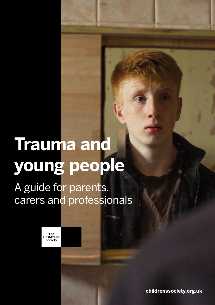# **Trauma and young people**

# A guide for parents, carers and professionals

HO.

The<br>Children's Society

**childrenssociety.org.uk**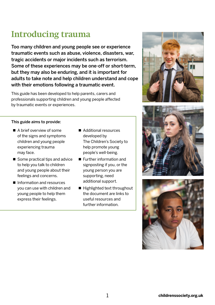# **Introducing trauma**

Too many children and young people see or experience traumatic events such as abuse, violence, disasters, war, tragic accidents or major incidents such as terrorism. Some of these experiences may be one-off or short-term, but they may also be enduring, and it is important for adults to take note and help children understand and cope with their emotions following a traumatic event.

This guide has been developed to help parents, carers and professionals supporting children and young people affected by traumatic events or experiences.

#### This guide aims to provide:

- A brief overview of some of the signs and symptoms children and young people experiencing trauma may face.
- Some practical tips and advice to help you talk to children and young people about their feelings and concerns.
- Information and resources you can use with children and young people to help them express their feelings.
- Additional resources developed by The Children's Society to help promote young people's well-being.
- **Further information and** signposting if you, or the young person you are supporting, need additional support.
- Highlighted text throughout the document are links to useful resources and further information.





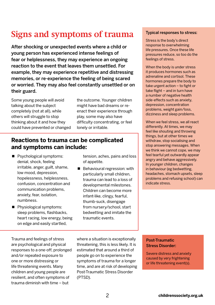# **Signs and symptoms of trauma**

After shocking or unexpected events where a child or young person has experienced intense feelings of fear or helplessness, they may experience an ongoing reaction to the event that leaves them unsettled. For example, they may experience repetitive and distressing memories, or re-experience the feeling of being scared or worried. They may also feel constantly unsettled or on their guard.

Some young people will avoid talking about the subject completely (not at all), while others will struggle to stop thinking about it and how they could have prevented or changed the outcome. Younger children might have bad dreams or reenact their experience through play, some may also have difficulty concentrating, or feel lonely or irritable.

### **Reactions to trauma can be complicated and symptoms can include:**

- **P** Psychological symptoms: denial, shock, feeling irritable, anger, guilt, shame, low mood, depression, hopelessness, helplessness, confusion, concentration and communication problems, anxiety, fear, isolation, numbness.
- Physiological symptoms: sleep problems, flashbacks, heart racing, low energy, being on edge and easily startled,

Trauma and feelings of stress are psychological and physical responses to a one-off, prolonged and/or repeated exposure to one or more distressing or life threatening events. Many children and young people are resilient, and often symptoms of trauma diminish with time – but

of appetite. Behavioural regression: with

tension, aches, pains and loss

particularly small children, trauma can lead to a loss of developmental milestones. Children can become more infant-like, clingy, fearful, thumb-suck, disengage from nursery/school, start bedwetting and imitate the traumatic events.

where a situation is exceptionally threatening, this is less likely. It is estimated that around a third of people go on to experience the symptoms of trauma for a longer time, and are at risk of developing Post-Traumatic Stress Disorder

Typical responses to stress:

Stress is the body's direct response to overwhelming life pressures. Once these life pressures reduce, so too do the feelings of stress.

When the body is under stress it produces hormones such as adrenaline and cortisol. These hormones prepare the body to take urgent action – to fight or take flight – and in turn have a number of negative health side-effects such as anxiety, depression, concentration problems, weight gain/loss, dizziness and sleep problems.

When we feel stress, we all react differently. At times, we may feel like shouting and throwing things, but at other times we withdraw, stop socialising and stop answering messages. When we think we cannot cope, we may feel tearful yet outwardly appear angry and behave aggressively. In younger children, changes in behaviour (eg bedwetting, headaches, stomach upsets, sleep problems and refusing school) can indicate stress.

Post-Traumatic Stress Disorder:

Severe distress and anxiety caused by very frightening or life threatening event(s).

(PTSD).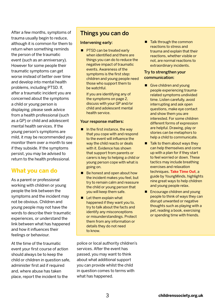After a few months, symptoms of trauma usually begin to reduce, although it is common for them to return when something reminds the person of the traumatic event (such as an anniversary). However for some people their traumatic symptoms can get worse instead of better over time and develop into mental health problems, including PTSD. If, after a traumatic incident you are concerned about the symptoms a child or young person is displaying, please seek advice from a health professional (such as a GP) or child and adolescent mental health services. If the young person's symptoms are mild, it may be recommended you monitor them over a month to see if they subside. If the symptoms persist, you may be advised to return to the health professional.

# **What you can do**

As a parent or professional working with children or young people the link between the symptoms and the incident may not be obvious. Children and young people may not have the words to describe their traumatic experiences, or understand the link between what has happened and how it influences their feelings or behaviour.

At the time of the traumatic event your first course of action should always be to keep the child or children in question safe, administer first aid if required and, where abuse has taken place, report the incident to the

# Things you can do

#### Intervening early:

**PTSD can be treated early** when identified and there are things you can do to reduce the negative impact of traumatic events. Awareness of the symptoms is the first step: children and young people need those who support them to be watchful.

If you are identifying any of the symptoms on page 2, discuss with your GP and/or child and adolescent mental health service.

#### Your response matters:

- $\blacksquare$  In the first instance, the way that you cope with and respond to the event will influence the way the child reacts or deals with it. Evidence has shown that support from parents or carers is key to helping a child or young person cope with what is going on.
- Be honest and open about how the incident makes you feel, but try to remain calm and reassure the child or young person that you will keep them safe.
- Let them explain what happened if they want you to, try to talk about the facts and identify any misconceptions or misunderstandings. Protect them from any information or details they do not need to know.

police or local authority children's services. After the event has passed, you may want to think about what additional support you can provide whilst the child in question comes to terms with what has happened.

■ Talk through the common reactions to stress and trauma and explain that their reactions, whether visible or not, are normal reactions to extraordinary incidents.

#### Try to strengthen your communication:

- Give children and young people experiencing traumarelated symptoms undivided time. Listen carefully, avoid interrupting and ask open questions, make eye contact and show them you are interested. For some children different forms of expression are helpful. Drawing, play or stories can be metaphors to help a child to communicate.
- $\blacksquare$  Talk to them about ways they can help themselves and come up with a plan for if they start to feel worried or down. These tactics may include breathing exercises and relaxation techniques. **[Take Time Out](https://youngminds.org.uk/find-help/looking-after-yourself/take-time-out/)**, a guide by YoungMinds, highlights nine great ways to help children and young people relax.
- **Encourage children and young** people to think of ways they can disrupt unwanted or negative thoughts such as playing with a pet, reading a book, exercising or spending time with friends.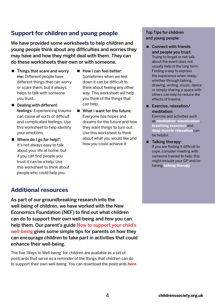# **Support for children and young people**

We have provided some worksheets to help children and young people think about any difficulties and worries they may have and how they might deal with them. They can do these worksheets their own or with someone.

- $\blacksquare$  Things that scare and worry me: Different people have different things that can worry or scare them, but it always helps to talk with someone you trust.
- Dealing with different feelings: Experiencing trauma can cause all sorts of difficult and complicated feelings. Use this worksheet to help identify your emotions.
- Where do I go for help?: It's not always easy to talk about your life at home, but if you can find people you trust it can be a help. Use this worksheet to think about people who could help you.
- How I can feel better: Sometimes when we feel down it can be difficult to think about feeling any other way. This worksheet will help you think of the things that can help.
- What I want for the future: Everyone has hopes and dreams for the future and how they want things to turn out. Use this worksheet to think about what you would like and how you could achieve it.

#### Top Tips for children and young people:

■ Connect with friends and people you trust: Trying to forget or not talk

about the event does not usually help in the long term. Finding a way to express the experience when ready, whether through talking, drawing, writing, music, dance or simply sharing a space with others can help to reduce the effects of trauma.

■ Exercise, relaxation/ meditation:

Exercise and activities such as **[meditation](https://www.youtube.com/watch?v=a8LjxXSxBeA&list=PLLw4OxkBSVUMERYOv9xvIalOs6rLXU710&index=3
)**, **[visualisation](http://youtu.be/9SuH5LlrAm8)**, **[breathing exercises](http://www.drweil.com/drw/u/ART00521/three-breathing-exercises.html)** and **[deep muscle relaxation](https://www.youtube.com/watch?v=2ZKNr-W9A1U&list=PLLw4OxkBSVUMERYOv9xvIalOs6rLXU710)** can be helpful.

 $\blacksquare$  Talking therapy: If you are finding it difficult to cope, consider meeting with someone trained to help; this might include your GP and/or having **[talking therapy](http://www.nhs.uk/Conditions/stress-anxiety-depression/Pages/benefits-of-talking-therapy.aspx)**.

# **Additional resources**

As part of our groundbreaking research into the well-being of children, we have worked with the New Economics Foundation (NEF) to find out what children can do to support their own well-being and how you can help them. Our parent's guide [How to support your child's](https://www.childrenssociety.org.uk/what-we-do/resources-and-publications/publications-library/how-to-support-your-childs-well-being)  [well-being](https://www.childrenssociety.org.uk/what-we-do/resources-and-publications/publications-library/how-to-support-your-childs-well-being) gives some simple tips for parents on how they can encourage children to take part in activities that could enhance their well-being.

The five 'Ways to Well-being' for children are available as a set of postcards that serve as a reminder of the things that children can do to support their own well-being. You can download the postcards **[here](https://www.childrenssociety.org.uk/sites/default/files/u130/Ways%20to%20well-being%20postcards%20FINAL%20%282%29.pdf)**.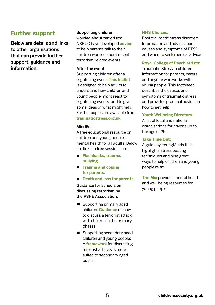### **Further support**

Below are details and links to other organisations that can provide further support, guidance and information:

#### Supporting children worried about terrorism:

NSPCC have developed **[advice](https://www.nspcc.org.uk/what-we-do/news-opinion/supporting-children-worried-about-terrorism/?utm_source=twitter_nspcc&utm_medium=nspccsocialmedia&utm_campaign=owntwitter_tweet)** to help parents talk to their children worried about recent terrorism-related events.

#### After the event:

Supporting children after a frightening event: **[This leaflet](https://childbereavementuk.org/wp-content/uploads/2016/05/1.4b-Supporting-children-after-a-frightening-event.pdf)** is designed to help adults to understand how children and young people might react to frightening events, and to give some ideas of what might help. Further copies are available from **[traumaticstress.org.uk](http://traumaticstress.org.uk)**

#### MindEd:

A free educational resource on children and young people's mental health for all adults. Below are links to free sessions on:

- **[Flashbacks, trauma,](https://www.minded.org.uk/LearningContent/LaunchForGuestAccess/445694)  [bullying.](https://www.minded.org.uk/LearningContent/LaunchForGuestAccess/445694)**
- **[Trauma and coping](https://www.minded.org.uk/families/index.html#/id/56cc7831a55aa90a52727c3a)  [for parents.](https://www.minded.org.uk/families/index.html#/id/56cc7831a55aa90a52727c3a)**
- [Death and loss for parents.](https://www.minded.org.uk/families/index.html#/id/56cc7831a55aa90a52727c2d)

Guidance for schools on discussing terrorism by the PSHE Association:

- Supporting primary aged children: **[Guidance](https://www.pshe-association.org.uk/curriculum-and-resources/resources/discussing-terrorist-attack-children-primary)** on how to discuss a terrorist attack with children in the primary phases.
- Supporting secondary aged children and young people: A **[framework](https://www.pshe-association.org.uk/curriculum-and-resources/resources/generic-framework-discussing-terrorist-attack)** for discussing terrorist attacks is more suited to secondary aged pupils.

#### **[NHS Choices:](http://www.nhs.uk/conditions/Post-traumatic-stress-disorder/Pages/Introduction.aspx)**

Post-traumatic stress disorder: Information and advice about causes and symptoms of PTSD and when to seek medical advice.

#### **[Royal College of Psychiatrists:](http://www.rcpsych.ac.uk/healthadvice/parentsandyouthinfo/parentscarers/traumaticstressinchildren.aspx)**

Traumatic Stress in children: Information for parents, carers and anyone who works with young people. This factsheet describes the causes and symptoms of traumatic stress, and provides practical advice on how to get help.

#### **[Youth Wellbeing Directory:](http://www.youthwellbeing.co.uk/)**

A list of local and national organisations for anyone up to the age of 25.

#### **[Take Time Out:](https://youngminds.org.uk/find-help/looking-after-yourself/take-time-out/)**

A guide by YoungMinds that highlights stress busting techniques and nine great ways to help children and young people relax.

**[The Mix](http://www.themix.org.uk/mental-health)** provides mental health and well-being resources for young people.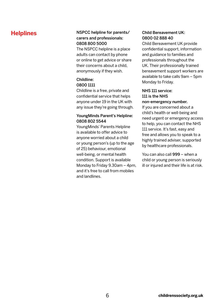#### **Helplines** NSPCC helpline for parents/ carers and professionals: 0808 800 5000

The NSPCC helpline is a place adults can contact by phone or online to get advice or share their concerns about a child, anonymously if they wish.

#### Childline: 0800 1111

Childline is a free, private and confidential service that helps anyone under 19 in the UK with any issue they're going through.

#### YoungMinds Parent's Helpline: 0808 802 5544

YoungMinds' Parents Helpline is available to offer advice to anyone worried about a child or young person's (up to the age of 25) behaviour, emotional well-being, or mental health condition. Support is available Monday to Friday 9.30am – 4pm, and it's free to call from mobiles and landlines.

#### Child Bereavement UK: 0800 02 888 40

Child Bereavement UK provide confidential support, information and guidance to families and professionals throughout the UK. Their professionally trained bereavement support workers are available to take calls 9am – 5pm Monday to Friday.

### NHS 111 service: 111 is the NHS

#### non-emergency number.

If you are concerned about a child's health or well-being and need urgent or emergency access to help, you can contact the NHS 111 service. It's fast, easy and free and allows you to speak to a highly trained adviser, supported by healthcare professionals.

You can also call 999 – when a child or young person is seriously ill or injured and their life is at risk.